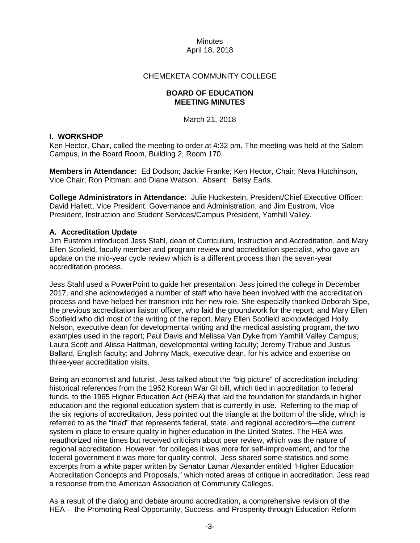## CHEMEKETA COMMUNITY COLLEGE

### **BOARD OF EDUCATION MEETING MINUTES**

March 21, 2018

# **I. WORKSHOP**

Ken Hector, Chair, called the meeting to order at 4:32 pm. The meeting was held at the Salem Campus, in the Board Room, Building 2, Room 170.

**Members in Attendance:** Ed Dodson; Jackie Franke; Ken Hector, Chair; Neva Hutchinson, Vice Chair; Ron Pittman; and Diane Watson. Absent: Betsy Earls.

**College Administrators in Attendance:** Julie Huckestein, President/Chief Executive Officer; David Hallett, Vice President, Governance and Administration; and Jim Eustrom, Vice President, Instruction and Student Services/Campus President, Yamhill Valley.

# **A. Accreditation Update**

Jim Eustrom introduced Jess Stahl, dean of Curriculum, Instruction and Accreditation, and Mary Ellen Scofield, faculty member and program review and accreditation specialist, who gave an update on the mid-year cycle review which is a different process than the seven-year accreditation process.

Jess Stahl used a PowerPoint to guide her presentation. Jess joined the college in December 2017, and she acknowledged a number of staff who have been involved with the accreditation process and have helped her transition into her new role. She especially thanked Deborah Sipe, the previous accreditation liaison officer, who laid the groundwork for the report; and Mary Ellen Scofield who did most of the writing of the report. Mary Ellen Scofield acknowledged Holly Nelson, executive dean for developmental writing and the medical assisting program, the two examples used in the report; Paul Davis and Melissa Van Dyke from Yamhill Valley Campus; Laura Scott and Alissa Hattman, developmental writing faculty; Jeremy Trabue and Justus Ballard, English faculty; and Johnny Mack, executive dean, for his advice and expertise on three-year accreditation visits.

Being an economist and futurist, Jess talked about the "big picture" of accreditation including historical references from the 1952 Korean War GI bill, which tied in accreditation to federal funds, to the 1965 Higher Education Act (HEA) that laid the foundation for standards in higher education and the regional education system that is currently in use. Referring to the map of the six regions of accreditation, Jess pointed out the triangle at the bottom of the slide, which is referred to as the "triad" that represents federal, state, and regional accreditors—the current system in place to ensure quality in higher education in the United States. The HEA was reauthorized nine times but received criticism about peer review, which was the nature of regional accreditation. However, for colleges it was more for self-improvement, and for the federal government it was more for quality control. Jess shared some statistics and some excerpts from a white paper written by Senator Lamar Alexander entitled "Higher Education Accreditation Concepts and Proposals," which noted areas of critique in accreditation. Jess read a response from the American Association of Community Colleges.

As a result of the dialog and debate around accreditation, a comprehensive revision of the HEA— the Promoting Real Opportunity, Success, and Prosperity through Education Reform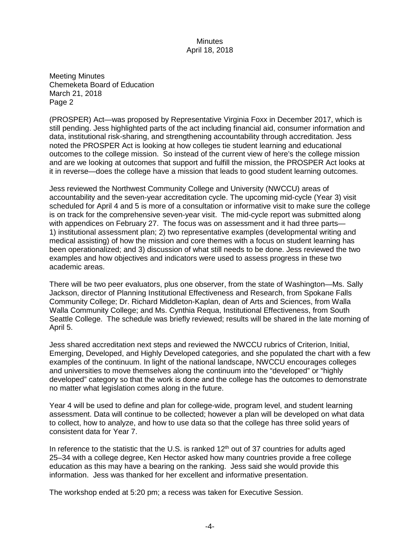Meeting Minutes Chemeketa Board of Education March 21, 2018 Page 2

(PROSPER) Act—was proposed by Representative Virginia Foxx in December 2017, which is still pending. Jess highlighted parts of the act including financial aid, consumer information and data, institutional risk-sharing, and strengthening accountability through accreditation. Jess noted the PROSPER Act is looking at how colleges tie student learning and educational outcomes to the college mission. So instead of the current view of here's the college mission and are we looking at outcomes that support and fulfill the mission, the PROSPER Act looks at it in reverse—does the college have a mission that leads to good student learning outcomes.

Jess reviewed the Northwest Community College and University (NWCCU) areas of accountability and the seven-year accreditation cycle. The upcoming mid-cycle (Year 3) visit scheduled for April 4 and 5 is more of a consultation or informative visit to make sure the college is on track for the comprehensive seven-year visit. The mid-cycle report was submitted along with appendices on February 27. The focus was on assessment and it had three parts-1) institutional assessment plan; 2) two representative examples (developmental writing and medical assisting) of how the mission and core themes with a focus on student learning has been operationalized; and 3) discussion of what still needs to be done. Jess reviewed the two examples and how objectives and indicators were used to assess progress in these two academic areas.

There will be two peer evaluators, plus one observer, from the state of Washington—Ms. Sally Jackson, director of Planning Institutional Effectiveness and Research, from Spokane Falls Community College; Dr. Richard Middleton-Kaplan, dean of Arts and Sciences, from Walla Walla Community College; and Ms. Cynthia Requa, Institutional Effectiveness, from South Seattle College. The schedule was briefly reviewed; results will be shared in the late morning of April 5.

Jess shared accreditation next steps and reviewed the NWCCU rubrics of Criterion, Initial, Emerging, Developed, and Highly Developed categories, and she populated the chart with a few examples of the continuum. In light of the national landscape, NWCCU encourages colleges and universities to move themselves along the continuum into the "developed" or "highly developed" category so that the work is done and the college has the outcomes to demonstrate no matter what legislation comes along in the future.

Year 4 will be used to define and plan for college-wide, program level, and student learning assessment. Data will continue to be collected; however a plan will be developed on what data to collect, how to analyze, and how to use data so that the college has three solid years of consistent data for Year 7.

In reference to the statistic that the U.S. is ranked  $12<sup>th</sup>$  out of 37 countries for adults aged 25–34 with a college degree, Ken Hector asked how many countries provide a free college education as this may have a bearing on the ranking. Jess said she would provide this information. Jess was thanked for her excellent and informative presentation.

The workshop ended at 5:20 pm; a recess was taken for Executive Session.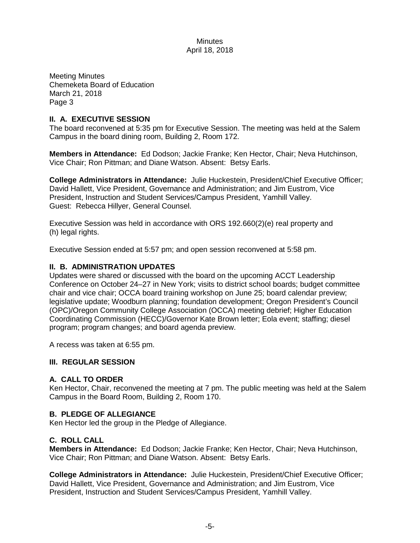Meeting Minutes Chemeketa Board of Education March 21, 2018 Page 3

## **II. A. EXECUTIVE SESSION**

The board reconvened at 5:35 pm for Executive Session. The meeting was held at the Salem Campus in the board dining room, Building 2, Room 172.

**Members in Attendance:** Ed Dodson; Jackie Franke; Ken Hector, Chair; Neva Hutchinson, Vice Chair; Ron Pittman; and Diane Watson. Absent: Betsy Earls.

**College Administrators in Attendance:** Julie Huckestein, President/Chief Executive Officer; David Hallett, Vice President, Governance and Administration; and Jim Eustrom, Vice President, Instruction and Student Services/Campus President, Yamhill Valley. Guest: Rebecca Hillyer, General Counsel.

Executive Session was held in accordance with ORS 192.660(2)(e) real property and (h) legal rights.

Executive Session ended at 5:57 pm; and open session reconvened at 5:58 pm.

## **II. B. ADMINISTRATION UPDATES**

Updates were shared or discussed with the board on the upcoming ACCT Leadership Conference on October 24–27 in New York; visits to district school boards; budget committee chair and vice chair; OCCA board training workshop on June 25; board calendar preview; legislative update; Woodburn planning; foundation development; Oregon President's Council (OPC)/Oregon Community College Association (OCCA) meeting debrief; Higher Education Coordinating Commission (HECC)/Governor Kate Brown letter; Eola event; staffing; diesel program; program changes; and board agenda preview.

A recess was taken at 6:55 pm.

## **III. REGULAR SESSION**

### **A. CALL TO ORDER**

Ken Hector, Chair, reconvened the meeting at 7 pm. The public meeting was held at the Salem Campus in the Board Room, Building 2, Room 170.

### **B. PLEDGE OF ALLEGIANCE**

Ken Hector led the group in the Pledge of Allegiance.

### **C. ROLL CALL**

**Members in Attendance:** Ed Dodson; Jackie Franke; Ken Hector, Chair; Neva Hutchinson, Vice Chair; Ron Pittman; and Diane Watson. Absent: Betsy Earls.

**College Administrators in Attendance:** Julie Huckestein, President/Chief Executive Officer; David Hallett, Vice President, Governance and Administration; and Jim Eustrom, Vice President, Instruction and Student Services/Campus President, Yamhill Valley.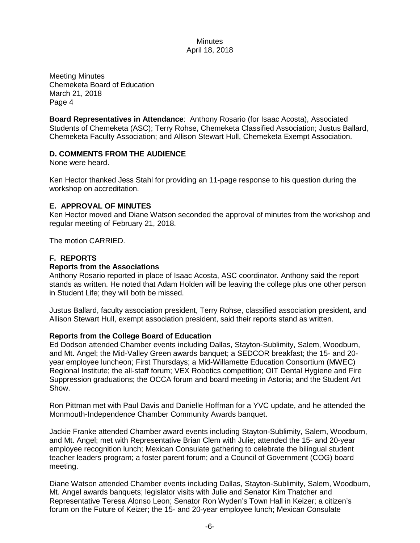Meeting Minutes Chemeketa Board of Education March 21, 2018 Page 4

**Board Representatives in Attendance**: Anthony Rosario (for Isaac Acosta), Associated Students of Chemeketa (ASC); Terry Rohse, Chemeketa Classified Association; Justus Ballard, Chemeketa Faculty Association; and Allison Stewart Hull, Chemeketa Exempt Association.

## **D. COMMENTS FROM THE AUDIENCE**

None were heard.

Ken Hector thanked Jess Stahl for providing an 11-page response to his question during the workshop on accreditation.

### **E. APPROVAL OF MINUTES**

Ken Hector moved and Diane Watson seconded the approval of minutes from the workshop and regular meeting of February 21, 2018.

The motion CARRIED.

## **F. REPORTS**

### **Reports from the Associations**

Anthony Rosario reported in place of Isaac Acosta, ASC coordinator. Anthony said the report stands as written. He noted that Adam Holden will be leaving the college plus one other person in Student Life; they will both be missed.

Justus Ballard, faculty association president, Terry Rohse, classified association president, and Allison Stewart Hull, exempt association president, said their reports stand as written.

### **Reports from the College Board of Education**

Ed Dodson attended Chamber events including Dallas, Stayton-Sublimity, Salem, Woodburn, and Mt. Angel; the Mid-Valley Green awards banquet; a SEDCOR breakfast; the 15- and 20 year employee luncheon; First Thursdays; a Mid-Willamette Education Consortium (MWEC) Regional Institute; the all-staff forum; VEX Robotics competition; OIT Dental Hygiene and Fire Suppression graduations; the OCCA forum and board meeting in Astoria; and the Student Art Show.

Ron Pittman met with Paul Davis and Danielle Hoffman for a YVC update, and he attended the Monmouth-Independence Chamber Community Awards banquet.

Jackie Franke attended Chamber award events including Stayton-Sublimity, Salem, Woodburn, and Mt. Angel; met with Representative Brian Clem with Julie; attended the 15- and 20-year employee recognition lunch; Mexican Consulate gathering to celebrate the bilingual student teacher leaders program; a foster parent forum; and a Council of Government (COG) board meeting.

Diane Watson attended Chamber events including Dallas, Stayton-Sublimity, Salem, Woodburn, Mt. Angel awards banquets; legislator visits with Julie and Senator Kim Thatcher and Representative Teresa Alonso Leon; Senator Ron Wyden's Town Hall in Keizer; a citizen's forum on the Future of Keizer; the 15- and 20-year employee lunch; Mexican Consulate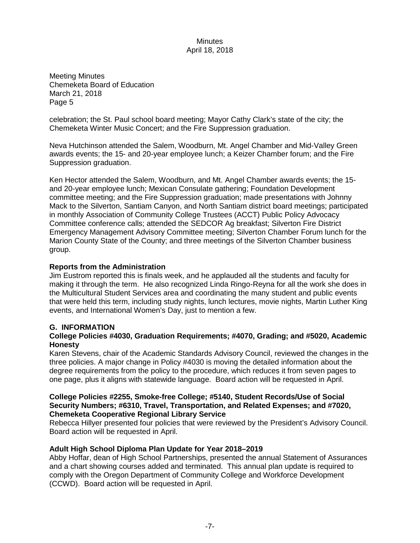Meeting Minutes Chemeketa Board of Education March 21, 2018 Page 5

celebration; the St. Paul school board meeting; Mayor Cathy Clark's state of the city; the Chemeketa Winter Music Concert; and the Fire Suppression graduation.

Neva Hutchinson attended the Salem, Woodburn, Mt. Angel Chamber and Mid-Valley Green awards events; the 15- and 20-year employee lunch; a Keizer Chamber forum; and the Fire Suppression graduation.

Ken Hector attended the Salem, Woodburn, and Mt. Angel Chamber awards events; the 15 and 20-year employee lunch; Mexican Consulate gathering; Foundation Development committee meeting; and the Fire Suppression graduation; made presentations with Johnny Mack to the Silverton, Santiam Canyon, and North Santiam district board meetings; participated in monthly Association of Community College Trustees (ACCT) Public Policy Advocacy Committee conference calls; attended the SEDCOR Ag breakfast; Silverton Fire District Emergency Management Advisory Committee meeting; Silverton Chamber Forum lunch for the Marion County State of the County; and three meetings of the Silverton Chamber business group.

# **Reports from the Administration**

Jim Eustrom reported this is finals week, and he applauded all the students and faculty for making it through the term. He also recognized Linda Ringo-Reyna for all the work she does in the Multicultural Student Services area and coordinating the many student and public events that were held this term, including study nights, lunch lectures, movie nights, Martin Luther King events, and International Women's Day, just to mention a few.

# **G. INFORMATION**

## **College Policies #4030, Graduation Requirements; #4070, Grading; and #5020, Academic Honesty**

Karen Stevens, chair of the Academic Standards Advisory Council, reviewed the changes in the three policies. A major change in Policy #4030 is moving the detailed information about the degree requirements from the policy to the procedure, which reduces it from seven pages to one page, plus it aligns with statewide language. Board action will be requested in April.

### **College Policies #2255, Smoke-free College; #5140, Student Records/Use of Social Security Numbers; #6310, Travel, Transportation, and Related Expenses; and #7020, Chemeketa Cooperative Regional Library Service**

Rebecca Hillyer presented four policies that were reviewed by the President's Advisory Council. Board action will be requested in April.

# **Adult High School Diploma Plan Update for Year 2018–2019**

Abby Hoffar, dean of High School Partnerships, presented the annual Statement of Assurances and a chart showing courses added and terminated. This annual plan update is required to comply with the Oregon Department of Community College and Workforce Development (CCWD). Board action will be requested in April.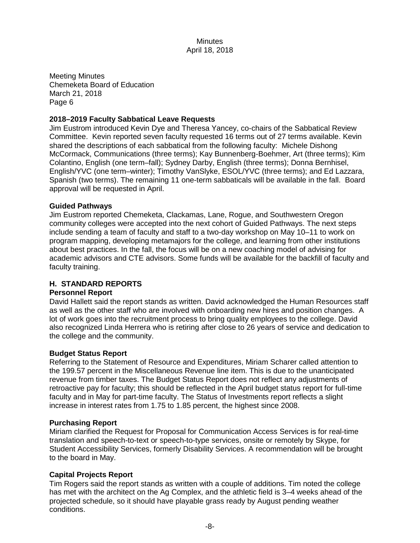Meeting Minutes Chemeketa Board of Education March 21, 2018 Page 6

## **2018–2019 Faculty Sabbatical Leave Requests**

Jim Eustrom introduced Kevin Dye and Theresa Yancey, co-chairs of the Sabbatical Review Committee. Kevin reported seven faculty requested 16 terms out of 27 terms available. Kevin shared the descriptions of each sabbatical from the following faculty: Michele Dishong McCormack, Communications (three terms); Kay Bunnenberg-Boehmer, Art (three terms); Kim Colantino, English (one term–fall); Sydney Darby, English (three terms); Donna Bernhisel, English/YVC (one term–winter); Timothy VanSlyke, ESOL/YVC (three terms); and Ed Lazzara, Spanish (two terms). The remaining 11 one-term sabbaticals will be available in the fall. Board approval will be requested in April.

### **Guided Pathways**

Jim Eustrom reported Chemeketa, Clackamas, Lane, Rogue, and Southwestern Oregon community colleges were accepted into the next cohort of Guided Pathways. The next steps include sending a team of faculty and staff to a two-day workshop on May 10–11 to work on program mapping, developing metamajors for the college, and learning from other institutions about best practices. In the fall, the focus will be on a new coaching model of advising for academic advisors and CTE advisors. Some funds will be available for the backfill of faculty and faculty training.

### **H. STANDARD REPORTS**

### **Personnel Report**

David Hallett said the report stands as written. David acknowledged the Human Resources staff as well as the other staff who are involved with onboarding new hires and position changes. A lot of work goes into the recruitment process to bring quality employees to the college. David also recognized Linda Herrera who is retiring after close to 26 years of service and dedication to the college and the community.

### **Budget Status Report**

Referring to the Statement of Resource and Expenditures, Miriam Scharer called attention to the 199.57 percent in the Miscellaneous Revenue line item. This is due to the unanticipated revenue from timber taxes. The Budget Status Report does not reflect any adjustments of retroactive pay for faculty; this should be reflected in the April budget status report for full-time faculty and in May for part-time faculty. The Status of Investments report reflects a slight increase in interest rates from 1.75 to 1.85 percent, the highest since 2008.

### **Purchasing Report**

Miriam clarified the Request for Proposal for Communication Access Services is for real-time translation and speech-to-text or speech-to-type services, onsite or remotely by Skype, for Student Accessibility Services, formerly Disability Services. A recommendation will be brought to the board in May.

# **Capital Projects Report**

Tim Rogers said the report stands as written with a couple of additions. Tim noted the college has met with the architect on the Ag Complex, and the athletic field is 3–4 weeks ahead of the projected schedule, so it should have playable grass ready by August pending weather conditions.